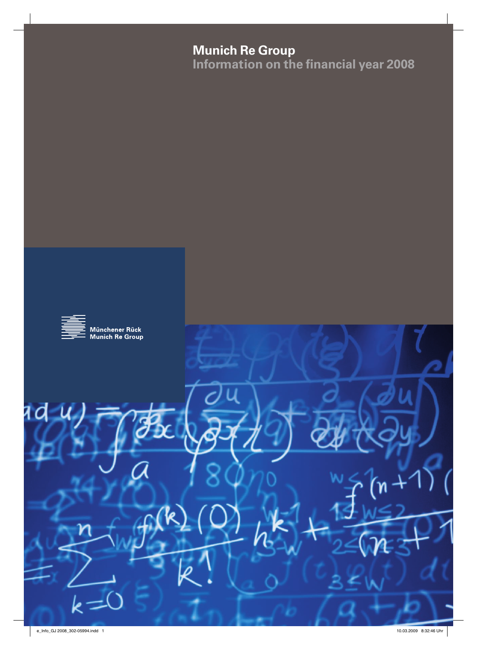# **Munich Re Group Information on the financial year 2008**

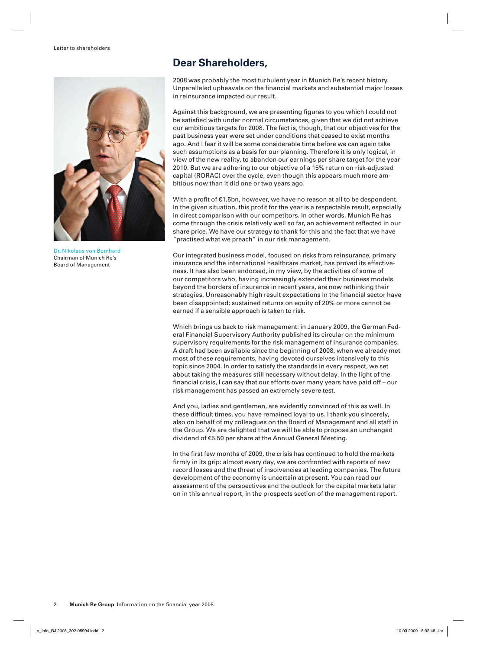

Dr. Nikolaus von Bomhard Chairman of Munich Re's Board of Management

## **Dear Shareholders,**

2008 was probably the most turbulent year in Munich Re's recent history. Unparalleled upheavals on the financial markets and substantial major losses in reinsurance impacted our result.

Against this background, we are presenting figures to you which I could not be satisfied with under normal circumstances, given that we did not achieve our ambitious targets for 2008. The fact is, though, that our objectives for the past business year were set under conditions that ceased to exist months ago. And I fear it will be some considerable time before we can again take such assumptions as a basis for our planning. Therefore it is only logical, in view of the new reality, to abandon our earnings per share target for the year 2010. But we are adhering to our objective of a 15% return on risk-adjusted capital (RORAC) over the cycle, even though this appears much more am bitious now than it did one or two years ago.

With a profit of  $E1.5$ bn, however, we have no reason at all to be despondent. In the given situation, this profit for the year is a respectable result, especially in direct comparison with our competitors. In other words, Munich Re has come through the crisis relatively well so far, an achievement reflected in our share price. We have our strategy to thank for this and the fact that we have "practised what we preach" in our risk management.

Our integrated business model, focused on risks from reinsurance, primary insurance and the international healthcare market, has proved its effectiveness. It has also been endorsed, in my view, by the activities of some of our competitors who, having increasingly extended their business models beyond the borders of insurance in recent years, are now rethinking their strategies. Unreasonably high result expectations in the financial sector have been disappointed; sustained returns on equity of 20% or more cannot be earned if a sensible approach is taken to risk.

Which brings us back to risk management: in January 2009, the German Federal Financial Supervisory Authority published its circular on the minimum supervisory requirements for the risk management of insurance companies. A draft had been available since the beginning of 2008, when we already met most of these requirements, having devoted ourselves intensively to this topic since 2004. In order to satisfy the standards in every respect, we set about taking the measures still necessary without delay. In the light of the financial crisis, I can say that our efforts over many years have paid off - our risk management has passed an extremely severe test.

And you, ladies and gentlemen, are evidently convinced of this as well. In these difficult times, you have remained loyal to us. I thank you sincerely, also on behalf of my colleagues on the Board of Management and all staff in the Group. We are delighted that we will be able to propose an unchanged dividend of €5.50 per share at the Annual General Meeting.

In the first few months of 2009, the crisis has continued to hold the markets firmly in its grip: almost every day, we are confronted with reports of new record losses and the threat of insolvencies at leading companies. The future development of the economy is uncertain at present. You can read our assessment of the perspectives and the outlook for the capital markets later on in this annual report, in the prospects section of the management report.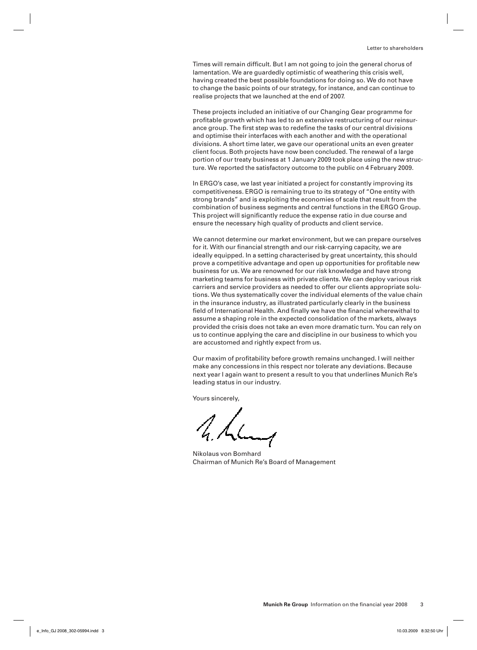Times will remain difficult. But I am not going to join the general chorus of lamentation. We are guardedly optimistic of weathering this crisis well, having created the best possible foundations for doing so. We do not have to change the basic points of our strategy, for instance, and can continue to realise projects that we launched at the end of 2007.

These projects included an initiative of our Changing Gear programme for profi table growth which has led to an extensive restructuring of our reinsurance group. The first step was to redefine the tasks of our central divisions and optimise their interfaces with each another and with the operational divisions. A short time later, we gave our operational units an even greater client focus. Both projects have now been concluded. The renewal of a large portion of our treaty business at 1 January 2009 took place using the new structure. We reported the satisfactory outcome to the public on 4 February 2009.

In ERGO's case, we last year initiated a project for constantly improving its competitiveness. ERGO is remaining true to its strategy of "One entity with strong brands" and is exploiting the economies of scale that result from the combination of business segments and central functions in the ERGO Group. This project will significantly reduce the expense ratio in due course and ensure the necessary high quality of products and client service.

We cannot determine our market environment, but we can prepare ourselves for it. With our financial strength and our risk-carrying capacity, we are ideally equipped. In a setting characterised by great uncertainty, this should prove a competitive advantage and open up opportunities for profitable new business for us. We are renowned for our risk knowledge and have strong marketing teams for business with private clients. We can deploy various risk carriers and service providers as needed to offer our clients appropriate solutions. We thus systematically cover the individual elements of the value chain in the insurance industry, as illustrated particularly clearly in the business field of International Health. And finally we have the financial wherewithal to assume a shaping role in the expected consolidation of the markets, always provided the crisis does not take an even more dramatic turn. You can rely on us to continue applying the care and discipline in our business to which you are accustomed and rightly expect from us.

Our maxim of profitability before growth remains unchanged. I will neither make any concessions in this respect nor tolerate any deviations. Because next year I again want to present a result to you that underlines Munich Re's leading status in our industry.

Yours sincerely,

Nikolaus von Bomhard Chairman of Munich Re's Board of Management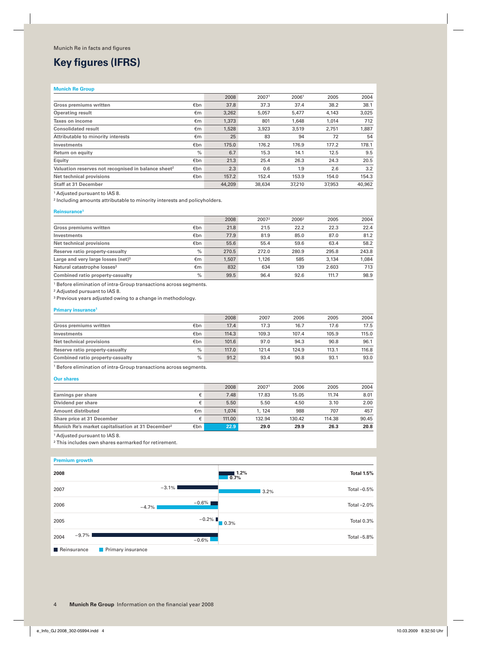# **Key figures (IFRS)**

## **Munich Re Group**

|                                                                 |     | 2008   | 20071  | 20061  | 2005   | 2004   |
|-----------------------------------------------------------------|-----|--------|--------|--------|--------|--------|
| <b>Gross premiums written</b>                                   | €bn | 37.8   | 37.3   | 37.4   | 38.2   | 38.1   |
| <b>Operating result</b>                                         | €m  | 3,262  | 5,057  | 5,477  | 4,143  | 3,025  |
| <b>Taxes on income</b>                                          | €m  | 1,373  | 801    | 1,648  | 1.014  | 712    |
| <b>Consolidated result</b>                                      | €m  | 1,528  | 3,923  | 3,519  | 2,751  | 1,887  |
| Attributable to minority interests                              | €m  | 25     | 83     | 94     | 72     | 54     |
| Investments                                                     | €bn | 175.0  | 176.2  | 176.9  | 177.2  | 178.1  |
| Return on equity                                                | %   | 6.7    | 15.3   | 14.1   | 12.5   | 9.5    |
| Equity                                                          | €bn | 21.3   | 25.4   | 26.3   | 24.3   | 20.5   |
| Valuation reserves not recognised in balance sheet <sup>2</sup> | €bn | 2.3    | 0.6    | 1.9    | 2.6    | 3.2    |
| Net technical provisions                                        | €bn | 157.2  | 152.4  | 153.9  | 154.0  | 154.3  |
| <b>Staff at 31 December</b>                                     |     | 44,209 | 38,634 | 37,210 | 37,953 | 40.962 |
|                                                                 |     |        |        |        |        |        |

1 Adjusted pursuant to IAS 8.

2 Including amounts attributable to minority interests and policyholders.

**Reinsurance1**

|                                                |      | 2008  | 20072 | 2006 <sup>2</sup> | 2005  | 2004  |
|------------------------------------------------|------|-------|-------|-------------------|-------|-------|
| Gross premiums written                         | €bn  | 21.8  | 21.5  | 22.2              | 22.3  | 22.4  |
| Investments                                    | €bn  | 77.9  | 81.9  | 85.0              | 87.0  | 81.2  |
| Net technical provisions                       | €bn  | 55.6  | 55.4  | 59.6              | 63.4  | 58.2  |
| Reserve ratio property-casualty                | $\%$ | 270.5 | 272.0 | 280.9             | 295.8 | 243.8 |
| Large and very large losses (net) <sup>3</sup> | €m   | 1,507 | 1.126 | 585               | 3,134 | 1.084 |
| Natural catastrophe losses <sup>3</sup>        | €m   | 832   | 634   | 139               | 2.603 | 713   |
| Combined ratio property-casualty               | %    | 99.5  | 96.4  | 92.6              | 111.7 | 98.9  |

1 Before elimination of intra-Group transactions across segments.

2 Adjusted pursuant to IAS 8.

3 Previous years adjusted owing to a change in methodology.

**Primary insurance1**

|                                  |      | 2008  | 2007  | 2006  | 2005  | 2004  |
|----------------------------------|------|-------|-------|-------|-------|-------|
| Gross premiums written           | €bn  | 17.4  | 17.3  | 16.7  | 17.6  | 17.5  |
| Investments                      | €bn  | 114.3 | 109.3 | 107.4 | 105.9 | 115.0 |
| Net technical provisions         | €bn  | 101.6 | 97.0  | 94.3  | 90.8  | 96.1  |
| Reserve ratio property-casualty  | %    | 117.0 | 121.4 | 124.9 | 113.1 | 116.8 |
| Combined ratio property-casualty | $\%$ | 91.2  | 93.4  | 90.8  | 93.1  | 93.0  |

1 Before elimination of intra-Group transactions across segments.

### **Our shares**

|                                                               |     | 2008   | 20071  | 2006   | 2005   | 2004  |
|---------------------------------------------------------------|-----|--------|--------|--------|--------|-------|
| Earnings per share                                            | €   | 7.48   | 17.83  | 15.05  | 11.74  | 8.01  |
| Dividend per share                                            | €   | 5.50   | 5.50   | 4.50   | 3.10   | 2.00  |
| Amount distributed                                            | €m  | 1.074  | 1.124  | 988    | 707    | 457   |
| Share price at 31 December                                    | €   | 111.00 | 132.94 | 130.42 | 114.38 | 90.45 |
| Munich Re's market capitalisation at 31 December <sup>2</sup> | €bn | 22.9   | 29.0   | 29.9   | 26.3   | 20.8  |

1 Adjusted pursuant to IAS 8.

2 This includes own shares earmarked for retirement.

#### **Premium growth Total 1.5%** Total –0.5% Total –2.0% Total 0.3% Total –5.8% **2008** 2007 2006 2005 2004 **Reinsurance** Primary insurance  $-0.6\%$  $-9.7%$  $-0.6\%$  $-4.7\%$  $-0.2\%$  0.3%  $-3.1\%$ 3.2% **0.7% 1.2%**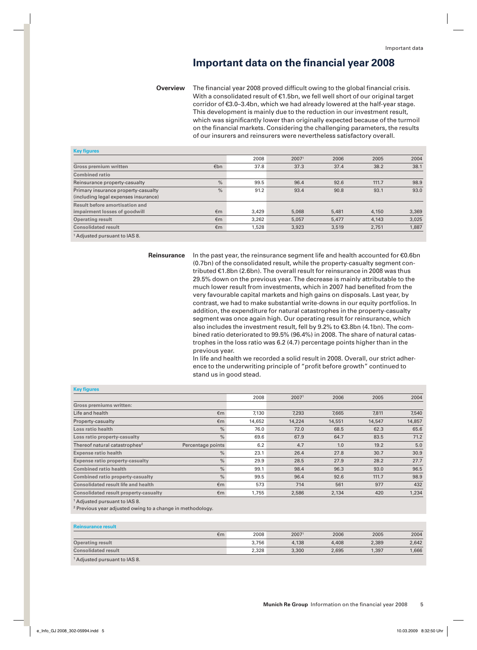## **Important data on the financial year 2008**

**Overview** The financial year 2008 proved difficult owing to the global financial crisis. With a consolidated result of €1.5bn, we fell well short of our original target corridor of €3.0–3.4bn, which we had already lowered at the half-year stage. This development is mainly due to the reduction in our investment result, which was significantly lower than originally expected because of the turmoil on the financial markets. Considering the challenging parameters, the results of our insurers and reinsurers were nevertheless satisfactory overall.

| <b>Key figures</b>                                                          |               |       |       |       |       |       |
|-----------------------------------------------------------------------------|---------------|-------|-------|-------|-------|-------|
|                                                                             |               | 2008  | 20071 | 2006  | 2005  | 2004  |
| <b>Gross premium written</b>                                                | €bn           | 37.8  | 37.3  | 37.4  | 38.2  | 38.1  |
| <b>Combined ratio</b>                                                       |               |       |       |       |       |       |
| Reinsurance property-casualty                                               | $\frac{0}{6}$ | 99.5  | 96.4  | 92.6  | 111.7 | 98.9  |
| Primary insurance property-casualty<br>(including legal expenses insurance) | $\frac{0}{6}$ | 91.2  | 93.4  | 90.8  | 93.1  | 93.0  |
| Result before amortisation and                                              |               |       |       |       |       |       |
| impairment losses of goodwill                                               | $\epsilon$ m  | 3,429 | 5,068 | 5,481 | 4,150 | 3,369 |
| <b>Operating result</b>                                                     | $\epsilon$ m  | 3,262 | 5,057 | 5,477 | 4,143 | 3,025 |
| <b>Consolidated result</b>                                                  | $\epsilon$ m  | ,528  | 3,923 | 3,519 | 2,751 | 1,887 |
|                                                                             |               |       |       |       |       |       |

1 Adjusted pursuant to IAS 8.

**Reinsurance** In the past year, the reinsurance segment life and health accounted for €0.6bn (0.7bn) of the consolidated result, while the property-casualty segment contributed €1.8bn (2.6bn). The overall result for reinsurance in 2008 was thus 29.5% down on the previous year. The decrease is mainly attributable to the much lower result from investments, which in 2007 had benefited from the very favourable capital markets and high gains on disposals. Last year, by contrast, we had to make substantial write-downs in our equity portfolios. In addition, the expenditure for natural catastrophes in the property-casualty segment was once again high. Our operating result for reinsurance, which also includes the investment result, fell by 9.2% to €3.8bn (4.1bn). The combined ratio deteriorated to 99.5% (96.4%) in 2008. The share of natural catastrophes in the loss ratio was 6.2 (4.7) percentage points higher than in the previous year.

> In life and health we recorded a solid result in 2008. Overall, our strict adherence to the underwriting principle of "profit before growth" continued to stand us in good stead.

|                                           |                   | 2008   | 20071  | 2006   | 2005   | 2004   |
|-------------------------------------------|-------------------|--------|--------|--------|--------|--------|
| <b>Gross premiums written:</b>            |                   |        |        |        |        |        |
| Life and health                           | $\epsilon$ m      | 7.130  | 7,293  | 7,665  | 7,811  | 7,540  |
| Property-casualty                         | €m                | 14,652 | 14,224 | 14,551 | 14,547 | 14,857 |
| Loss ratio health                         | %                 | 76.0   | 72.0   | 68.5   | 62.3   | 65.6   |
| Loss ratio property-casualty              | %                 | 69.6   | 67.9   | 64.7   | 83.5   | 71.2   |
| Thereof natural catastrophes <sup>2</sup> | Percentage points | 6.2    | 4.7    | 1.0    | 19.2   | 5.0    |
| <b>Expense ratio health</b>               | %                 | 23.1   | 26.4   | 27.8   | 30.7   | 30.9   |
| <b>Expense ratio property-casualty</b>    | $\%$              | 29.9   | 28.5   | 27.9   | 28.2   | 27.7   |
| <b>Combined ratio health</b>              | %                 | 99.1   | 98.4   | 96.3   | 93.0   | 96.5   |
| <b>Combined ratio property-casualty</b>   | %                 | 99.5   | 96.4   | 92.6   | 111.7  | 98.9   |
| Consolidated result life and health       | $\epsilon$ m      | 573    | 714    | 561    | 977    | 432    |
| Consolidated result property-casualty     | €m                | 1,755  | 2,586  | 2,134  | 420    | 1,234  |

1 Adjusted pursuant to IAS 8.

2 Previous year adjusted owing to a change in methodology.

### **Reinsurance result**

**Key figures**

|                                          | $\epsilon$ m | 2008  | 20071 | 2006  | 2005  | 2004  |
|------------------------------------------|--------------|-------|-------|-------|-------|-------|
| <b>Operating result</b>                  |              | 3,756 | 4,138 | 4,408 | 2,389 | 2,642 |
| <b>Consolidated result</b>               |              | 2,328 | 3,300 | 2.695 | 1,397 | .666  |
| <sup>1</sup> Adjusted pursuant to IAS 8. |              |       |       |       |       |       |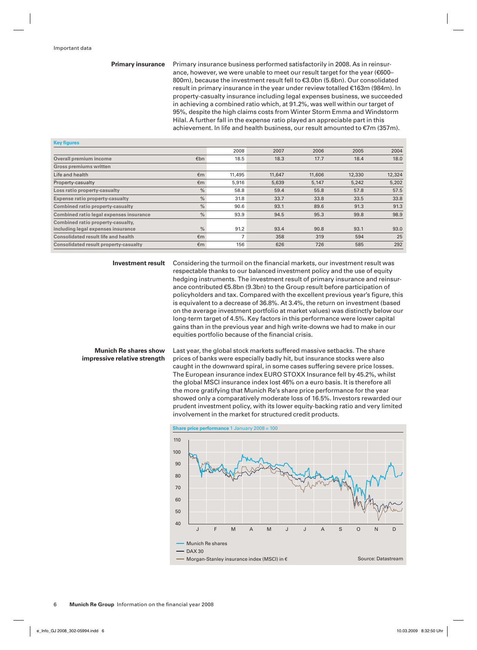**Primary insurance** Primary insurance business performed satisfactorily in 2008. As in reinsurance, however, we were unable to meet our result target for the year (€600– 800m), because the investment result fell to €3.0bn (5.6bn). Our consolidated result in primary insurance in the year under review totalled €163m (984m). In property-casualty insurance including legal expenses business, we succeeded in achieving a combined ratio which, at 91.2%, was well within our target of 95%, despite the high claims costs from Winter Storm Emma and Windstorm Hilal. A further fall in the expense ratio played an appreciable part in this achievement. In life and health business, our result amounted to €7m (357m).

| <b>Key figures</b>                                                      |                  |        |        |        |        |        |
|-------------------------------------------------------------------------|------------------|--------|--------|--------|--------|--------|
|                                                                         |                  | 2008   | 2007   | 2006   | 2005   | 2004   |
| <b>Overall premium income</b>                                           | $\varepsilon$ bn | 18.5   | 18.3   | 17.7   | 18.4   | 18.0   |
| <b>Gross premiums written</b>                                           |                  |        |        |        |        |        |
| Life and health                                                         | $\epsilon$ m     | 11,495 | 11,647 | 11,606 | 12,330 | 12,324 |
| Property-casualty                                                       | $\epsilon$ m     | 5,916  | 5,639  | 5,147  | 5,242  | 5,202  |
| Loss ratio property-casualty                                            | $\%$             | 58.8   | 59.4   | 55.8   | 57.8   | 57.5   |
| <b>Expense ratio property-casualty</b>                                  | $\%$             | 31.8   | 33.7   | 33.8   | 33.5   | 33.8   |
| <b>Combined ratio property-casualty</b>                                 | $\%$             | 90.6   | 93.1   | 89.6   | 91.3   | 91.3   |
| <b>Combined ratio legal expenses insurance</b>                          | $\%$             | 93.9   | 94.5   | 95.3   | 99.8   | 98.9   |
| Combined ratio property-casualty,<br>including legal expenses insurance | %                | 91.2   | 93.4   | 90.8   | 93.1   | 93.0   |
| <b>Consolidated result life and health</b>                              | $\epsilon$ m     | 7      | 358    | 319    | 594    | 25     |
| Consolidated result property-casualty                                   | $\epsilon$ m     | 156    | 626    | 726    | 585    | 292    |

**Investment result** Considering the turmoil on the financial markets, our investment result was respectable thanks to our balanced investment policy and the use of equity hedging instruments. The investment result of primary insurance and reinsurance contributed €5.8bn (9.3bn) to the Group result before participation of policyholders and tax. Compared with the excellent previous year's figure, this is equivalent to a decrease of 36.8%. At 3.4%, the return on investment (based on the average investment portfolio at market values) was distinctly below our long-term target of 4.5%. Key factors in this performance were lower capital gains than in the previous year and high write-downs we had to make in our equities portfolio because of the financial crisis.

**Munich Re shares show** Last year, the global stock markets suffered massive setbacks. The share **impressive relative strength** prices of banks were especially badly hit, but insurance stocks were also caught in the downward spiral, in some cases suffering severe price losses. The European insurance index EURO STOXX Insurance fell by 45.2%, whilst the global MSCI insurance index lost 46% on a euro basis. It is therefore all the more gratifying that Munich Re's share price performance for the year showed only a comparatively moderate loss of 16.5%. Investors rewarded our prudent investment policy, with its lower equity-backing ratio and very limited involvement in the market for structured credit products.

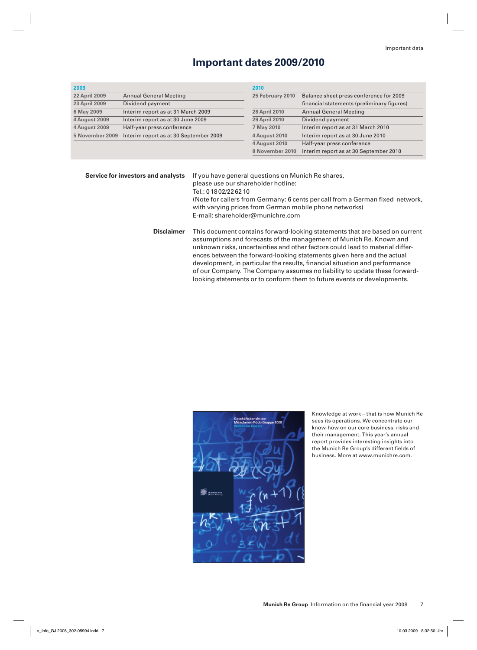## **Important dates 2009/2010**

| 25 February 2010     |                                            |
|----------------------|--------------------------------------------|
|                      | Balance sheet press conference for 2009    |
|                      | financial statements (preliminary figures) |
| <b>28 April 2010</b> | <b>Annual General Meeting</b>              |
| <b>29 April 2010</b> | Dividend payment                           |
| 7 May 2010           | Interim report as at 31 March 2010         |
| <b>4 August 2010</b> | Interim report as at 30 June 2010          |
| <b>4 August 2010</b> | Half-year press conference                 |
| 8 November 2010      | Interim report as at 30 September 2010     |
|                      |                                            |

 **Service for investors and analysts** If you have general questions on Munich Re shares,

 please use our shareholder hotline: Tel.: 0 18 02/22 62 10 (Note for callers from Germany: 6 cents per call from a German fixed network, with varying prices from German mobile phone networks)

E-mail: shareholder@munichre.com

 **Disclaimer** This document contains forward-looking statements that are based on current assumptions and forecasts of the management of Munich Re. Known and unknown risks, uncertainties and other factors could lead to material differences between the forward-looking statements given here and the actual development, in particular the results, financial situation and performance of our Company. The Company assumes no liability to update these forwardlooking statements or to conform them to future events or developments.



Knowledge at work – that is how Munich Re sees its operations. We concentrate our know-how on our core business: risks and their management. This year's annual report provides interesting insights into the Munich Re Group's different fields of business. More at www.munichre.com.